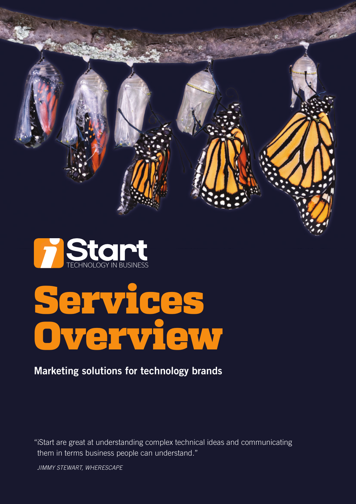



# Services Overview

### **Marketing solutions for technology brands**

[them in terms business p](mailto:getintouch%40istart.co.nz%20?subject=iStart%20services%20enquiry)eople can understand." "iStart are great at understanding complex technical ideas and communicating

JIMMY STEWART, WHERESCAPE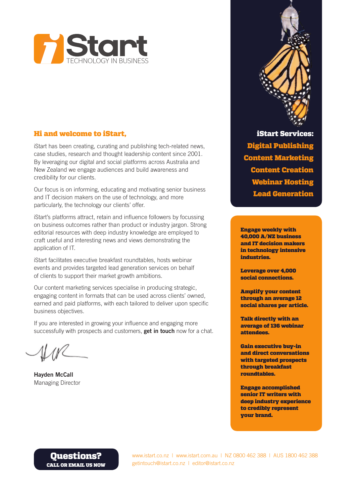

#### Hi and welcome to iStart,

iStart has been creating, curating and publishing tech-related news, case studies, research and thought leadership content since 2001. By leveraging our digital and social platforms across Australia and New Zealand we engage audiences and build awareness and credibility for our clients.

Our focus is on informing, educating and motivating senior business and IT decision makers on the use of technology, and more particularly, the technology our clients' offer.

iStart's platforms attract, retain and influence followers by focussing on business outcomes rather than product or industry jargon. Strong editorial resources with deep industry knowledge are employed to craft useful and interesting news and views demonstrating the application of IT.

iStart facilitates executive breakfast roundtables, hosts webinar events and provides targeted lead generation services on behalf of clients to support their market growth ambitions.

Our content marketing services specialise in producing strategic, engaging content in formats that can be used across clients' owned, earned and paid platforms, with each tailored to deliver upon specific business objectives.

If you are interested in growing your influence and engaging more successfully with prospects and customers, **get in touch** now for a chat.

**Hayden McCall** Managing Director



Engage weekly with 40,000 A/NZ business and IT decision makers in technology intensive industries.

Leverage over 4,000 social connections.

Amplify your content through an average 12 social shares per article.

Talk directly with an average of 136 webinar attendees.

Gain executive buy-in and direct conversations with targeted prospects through breakfast roundtables.

Engage accomplished senior IT writers with deep industry experience to credibly represent your brand.

#### [Questions?](mailto:getintouch%40istart.co.nz%20?subject=iStart%20services%20enquiry)  CALL OR EMAIL US NOW

www.istart.co.nz | www.istart.com.au | NZ 0800 462 388 | AUS 1800 462 388 [getintouch@istart.co.nz](mailto:getintouch%40istart.co.nz?subject=iStart%20services%20enquiry) | editor@istart.co.nz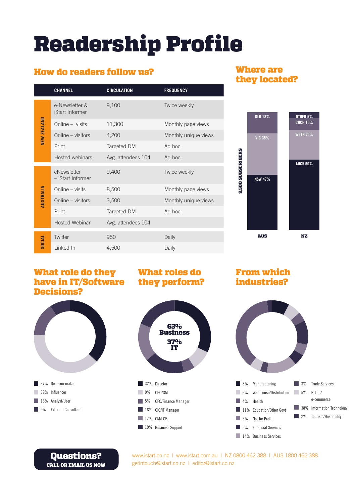## Readership Profile

#### How do readers follow us?

|               | <b>CHANNEL</b>                    | <b>CIRCULATION</b> | <b>FREQUENCY</b>     |
|---------------|-----------------------------------|--------------------|----------------------|
| NEW ZEALAND   | e-Newsletter &<br>iStart Informer | 9,100              | Twice weekly         |
|               | Online - visits                   | 11,300             | Monthly page views   |
|               | Online – visitors                 | 4,200              | Monthly unique views |
|               | Print                             | Targeted DM        | Ad hoc               |
|               | Hosted webinars                   | Avg. attendees 104 | Ad hoc               |
| AUSTRALIA     | eNewsletter<br>- iStart Informer  | 9,400              | Twice weekly         |
|               | Online – visits                   | 8,500              | Monthly page views   |
|               | Online – visitors                 | 3,500              | Monthly unique views |
|               | Print                             | Targeted DM        | Ad hoc               |
|               | Hosted Webinar                    | Avg. attendees 104 |                      |
| <b>SOCIAL</b> | Twitter                           | 950                | Daily                |
|               | Linked In                         | 4,500              | Daily                |
|               |                                   |                    |                      |

#### Where are they located?



#### What role do they What roles do have in IT/Software they perform? Decisions?





From which industries?



[Questions?](mailto:getintouch%40istart.co.nz%20?subject=iStart%20services%20enquiry)  CALL OR EMAIL US NOW www.istart.co.nz | www.istart.com.au | NZ 0800 462 388 | AUS 1800 462 388 [getintouch@istart.co.nz](mailto:getintouch%40istart.co.nz?subject=iStart%20services%20enquiry) | editor@istart.co.nz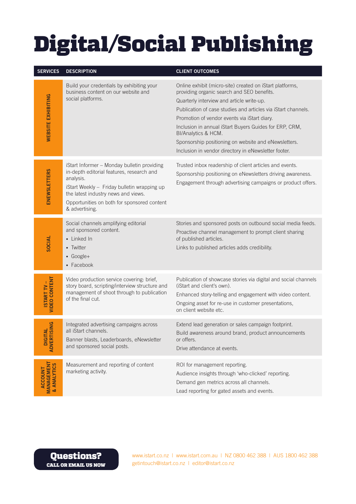# Digital/Social Publishing

| <b>SERVICES</b>                             | <b>DESCRIPTION</b>                                                                                                                                                                                                                                           | <b>CLIENT OUTCOMES</b>                                                                                                                                                                                                                                                                                                                                                                                                                                                |
|---------------------------------------------|--------------------------------------------------------------------------------------------------------------------------------------------------------------------------------------------------------------------------------------------------------------|-----------------------------------------------------------------------------------------------------------------------------------------------------------------------------------------------------------------------------------------------------------------------------------------------------------------------------------------------------------------------------------------------------------------------------------------------------------------------|
| <b>WEBSITE EXHIBITING</b>                   | Build your credentials by exhibiting your<br>business content on our website and<br>social platforms.                                                                                                                                                        | Online exhibit (micro-site) created on iStart platforms,<br>providing organic search and SEO benefits.<br>Quarterly interview and article write-up.<br>Publication of case studies and articles via iStart channels.<br>Promotion of vendor events via iStart diary.<br>Inclusion in annual iStart Buyers Guides for ERP, CRM,<br>BI/Analytics & HCM.<br>Sponsorship positioning on website and eNewsletters.<br>Inclusion in vendor directory in eNewsletter footer. |
| <b>ENEWSLETTERS</b>                         | iStart Informer - Monday bulletin providing<br>in-depth editorial features, research and<br>analysis.<br>iStart Weekly - Friday bulletin wrapping up<br>the latest industry news and views.<br>Opportunities on both for sponsored content<br>& advertising. | Trusted inbox readership of client articles and events.<br>Sponsorship positioning on eNewsletters driving awareness.<br>Engagement through advertising campaigns or product offers.                                                                                                                                                                                                                                                                                  |
| SOCIAL                                      | Social channels amplifying editorial<br>and sponsored content.<br>• Linked In<br>• Twitter<br>$\bullet$ Google+<br>• Facebook                                                                                                                                | Stories and sponsored posts on outbound social media feeds.<br>Proactive channel management to prompt client sharing<br>of published articles.<br>Links to published articles adds credibility.                                                                                                                                                                                                                                                                       |
| <b>VIDEO CONTENT</b><br><b>ISTART TV-</b>   | Video production service covering: brief,<br>story board, scripting/interview structure and<br>management of shoot through to publication<br>of the final cut.                                                                                               | Publication of showcase stories via digital and social channels<br>(iStart and client's own).<br>Enhanced story-telling and engagement with video content.<br>Ongoing asset for re-use in customer presentations,<br>on client website etc.                                                                                                                                                                                                                           |
| ADVERTISING<br><b>DIGITAL</b>               | Integrated advertising campaigns across<br>all iStart channels.<br>Banner blasts, Leaderboards, eNewsletter<br>and sponsored social posts.                                                                                                                   | Extend lead generation or sales campaign footprint.<br>Build awareness around brand, product announcements<br>or offers.<br>Drive attendance at events.                                                                                                                                                                                                                                                                                                               |
| <b>MANAGEMENT</b><br>& ANALYTICS<br>ACCOUNT | Measurement and reporting of content<br>marketing activity.                                                                                                                                                                                                  | ROI for management reporting.<br>Audience insights through 'who-clicked' reporting.<br>Demand gen metrics across all channels.<br>Lead reporting for gated assets and events.                                                                                                                                                                                                                                                                                         |

[Questions?](mailto:getintouch%40istart.co.nz%20?subject=iStart%20services%20enquiry)  CALL OR EMAIL US NOW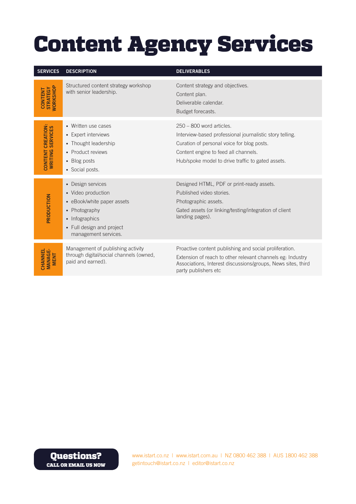### Content Agency Services

| <b>SERVICES</b>                                      | <b>DESCRIPTION</b>                                                                                                                                            | <b>DELIVERABLES</b>                                                                                                                                                                                                               |
|------------------------------------------------------|---------------------------------------------------------------------------------------------------------------------------------------------------------------|-----------------------------------------------------------------------------------------------------------------------------------------------------------------------------------------------------------------------------------|
| <b>WORKSHOP</b><br><b>STRATEGY</b><br><b>CONTENT</b> | Structured content strategy workshop<br>with senior leadership.                                                                                               | Content strategy and objectives.<br>Content plan.<br>Deliverable calendar.<br>Budget forecasts.                                                                                                                                   |
| CREATION:<br>SERVICES<br>WRITING<br><b>CONTENT</b>   | • Written use cases<br>• Expert interviews<br>• Thought leadership<br>• Product reviews<br>• Blog posts<br>• Social posts.                                    | $250 - 800$ word articles.<br>Interview-based professional journalistic story telling.<br>Curation of personal voice for blog posts.<br>Content engine to feed all channels.<br>Hub/spoke model to drive traffic to gated assets. |
| PRODUCTION                                           | • Design services<br>• Video production<br>• eBook/white paper assets<br>• Photography<br>• Infographics<br>• Full design and project<br>management services. | Designed HTML, PDF or print-ready assets.<br>Published video stories.<br>Photographic assets.<br>Gated assets (or linking/testing/integration of client<br>landing pages).                                                        |
| CHANNEL<br><b>MANAGE-</b><br><b>MENT</b>             | Management of publishing activity<br>through digital/social channels (owned,<br>paid and earned).                                                             | Proactive content publishing and social proliferation.<br>Extension of reach to other relevant channels eg: Industry<br>Associations, Interest discussions/groups, News sites, third<br>party publishers etc                      |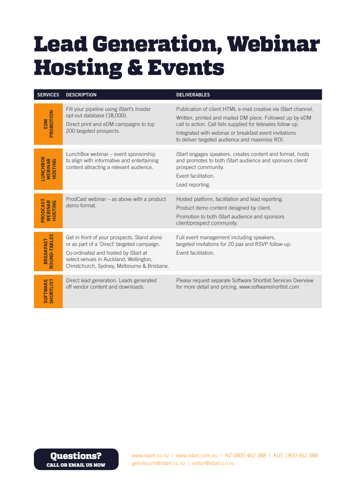### Lead Generation, Webinar Hosting & Events

| <b>SERVICES</b>                              | <b>DESCRIPTION</b>                                                                                                                                                                                                          | <b>DELIVERABLES</b>                                                                                                                                                                                                                                                                                    |
|----------------------------------------------|-----------------------------------------------------------------------------------------------------------------------------------------------------------------------------------------------------------------------------|--------------------------------------------------------------------------------------------------------------------------------------------------------------------------------------------------------------------------------------------------------------------------------------------------------|
| PROMOTION<br>EDM                             | Fill your pipeline using iStart's Insider<br>opt-out database (18,000).<br>Direct print and eDM campaigns to top<br>200 targeted prospects.                                                                                 | Publication of client HTML e-mail creative via iStart channel.<br>Written, printed and mailed DM piece. Followed up by eDM<br>call to action. Call lists supplied for telesales follow up.<br>Integrated with webinar or breakfast event invitations<br>to deliver targeted audience and maximise ROI. |
| <b>LUNCHBOX</b><br><b>WEBINAR</b><br>HOSTING | LunchBox webinar - event sponsorship<br>to align with informative and entertaining<br>content attracting a relevant audience.                                                                                               | iStart engages speakers, creates content and format, hosts<br>and promotes to both iStart audience and sponsors client/<br>prospect community.<br>Event facilitation.<br>Lead reporting.                                                                                                               |
| PRODCAST<br>WEBINAR<br>HOSTING               | ProdCast webinar – as above with a product<br>demo format                                                                                                                                                                   | Hosted platform, facilitation and lead reporting.<br>Product demo content designed by client.<br>Promotion to both iStart audience and sponsors<br>client/prospect community.                                                                                                                          |
| ROUND-TABLES<br><b>BREAKFAST</b>             | Get in front of your prospects. Stand alone<br>or as part of a 'Direct' targeted campaign.<br>Co-ordinated and hosted by iStart at<br>select venues in Auckland, Wellington,<br>Christchurch, Sydney, Melbourne & Brisbane. | Full event management including speakers,<br>targeted invitations for 20 pax and RSVP follow-up.<br>Event facilitation.                                                                                                                                                                                |
| <b>SHORTLIST</b><br>SOFTWARE                 | Direct lead generation. Leads generated<br>off vendor content and downloads.                                                                                                                                                | Please request separate Software Shortlist Services Overview<br>for more detail and pricing. www.softwareshortlist.com                                                                                                                                                                                 |

[Questions?](mailto:getintouch%40istart.co.nz%20?subject=iStart%20services%20enquiry)  CALL OR EMAIL US NOW